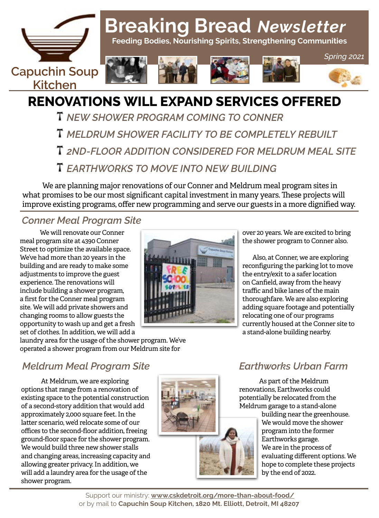

# **Breaking Bread** *Newsletter*

 **Feeding Bodies, Nourishing Spirits, Strengthening Communities**









*Spring 2021*

# **RENOVATIONS WILL EXPAND SERVICES OFFERED**

- *NEW SHOWER PROGRAM COMING TO CONNER*
- *MELDRUM SHOWER FACILITY TO BE COMPLETELY REBUILT*
- *2ND-FLOOR ADDITION CONSIDERED FOR MELDRUM MEAL SITE*
- *EARTHWORKS TO MOVE INTO NEW BUILDING*

We are planning major renovations of our Conner and Meldrum meal program sites in what promises to be our most significant capital investment in many years. These projects will improve existing programs, offer new programming and serve our guests in a more dignified way.

### *Conner Meal Program Site*

We will renovate our Conner meal program site at 4390 Conner Street to optimize the available space. We've had more than 20 years in the building and are ready to make some adjustments to improve the guest experience. The renovations will include building a shower program, a first for the Conner meal program site. We will add private showers and changing rooms to allow guests the opportunity to wash up and get a fresh set of clothes. In addition, we will add a



over 20 years. We are excited to bring the shower program to Conner also.

Also, at Conner, we are exploring reconfiguring the parking lot to move the entry/exit to a safer location on Canfield, away from the heavy traffic and bike lanes of the main thoroughfare. We are also exploring adding square footage and potentially relocating one of our programs currently housed at the Conner site to a stand-alone building nearby.

laundry area for the usage of the shower program. We've operated a shower program from our Meldrum site for

## *Meldrum Meal Program Site*

At Meldrum, we are exploring options that range from a renovation of existing space to the potential construction of a second-story addition that would add approximately 2,000 square feet. In the latter scenario, we'd relocate some of our offices to the second-floor addition, freeing ground-floor space for the shower program. We would build three new shower stalls and changing areas, increasing capacity and allowing greater privacy. In addition, we will add a laundry area for the usage of the shower program.



# *Earthworks Urban Farm*

As part of the Meldrum renovations, Earthworks could potentially be relocated from the Meldrum garage to a stand-alone

building near the greenhouse. We would move the shower program into the former Earthworks garage. We are in the process of evaluating different options. We hope to complete these projects by the end of 2022.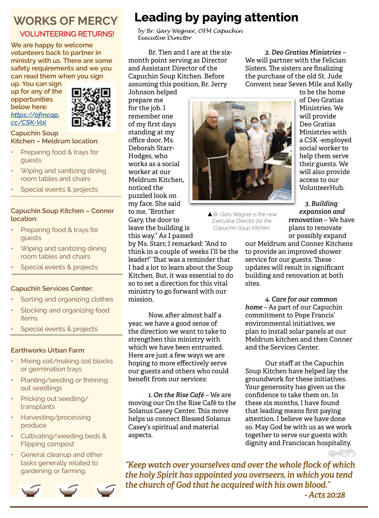# **WORKS OF MERCY**

#### **VOLUNTEERING RETURNS!**

**We are happy to welcome volunteers back to partner in ministry with us. There are some safety requirements and we you can read them when you sign** 

**up. You can sign up for any of the opportunities below here:**  *[https://ofmcap.](https://ofmcap.cc/CSK-Vol) [cc/CSK-Vol](https://ofmcap.cc/CSK-Vol)*



**Capuchin Soup Kitchen – Meldrum location:**

- Preparing food & trays for guests
- Wiping and sanitizing dining room tables and chairs
- Special events & projects

#### **Capuchin Soup Kitchen – Conner location:**

- Preparing food & trays for guests
- Wiping and sanitizing dining room tables and chairs
- Special events & projects

#### **Capuchin Services Center:**

- Sorting and organizing clothes
- Stocking and organizing food items
- Special events & projects

#### **Earthworks Urban Farm**

- Mixing soil/making soil blocks or germination trays
- Planting/seeding or thinning out seedlings
- Pricking out seedling/ transplants
- Harvesting/processing produce
- Cultivating/weeding beds & Flipping compost
- General cleanup and other tasks generally related to gardening or farming.



# **Leading by paying attention**

*by Br. Gary Wegner, OFM Capuchin Executive Director*

Br. Tien and I are at the sixmonth point serving as Director and Assistant Director of the Capuchin Soup Kitchen. Before assuming this position, Br. Jerry

Johnson helped prepare me for the job. I remember one of my first days standing at my office door. Ms. Deborah Starr-Hodges, who works as a social worker at our Meldrum Kitchen, noticed the puzzled look on my face. She said to me, "Brother Gary, the door to leave the building is this way." As I passed

mission.

aspects.

by Ms. Starr, I remarked: "And to think in a couple of weeks I'll be the leader!" That was a reminder that I had a lot to learn about the Soup Kitchen. But, it was essential to do so to set a direction for this vital ministry to go forward with our

Now, after almost half a

*1. On the Rise Café* – We are moving our On the Rise Café to the Solanus Casey Center. This move helps us connect Blessed Solanus Casey's spiritual and material

year, we have a good sense of the direction we want to take to strengthen this ministry with which we have been entrusted. Here are just a few ways we are hoping to more effectively serve our guests and others who could

benefit from our services:

▲*Br. Gary Wegner is the new Executive Director for the Capuchin Soup Kitchen.*

*2. Deo Gratias Ministries* – We will partner with the Felician Sisters. The sisters are finalizing the purchase of the old St. Jude Convent near Seven Mile and Kelly

to be the home of Deo Gratias Ministries. We will provide Deo Gratias Ministries with a CSK -employed social worker to help them serve their guests. We will also provide access to our VolunteerHub.

*3. Building expansion and renovation* – We have plans to renovate or possibly expand

our Meldrum and Conner Kitchens to provide an improved shower service for our guests. These updates will result in significant building and renovation at both sites.

*4. Care for our common home* – As part of our Capuchin commitment to Pope Francis' environmental initiatives, we plan to install solar panels at our Meldrum kitchen and then Conner and the Services Center.

Our staff at the Capuchin Soup Kitchen have helped lay the groundwork for these initiatives. Your generosity has given us the confidence to take them on. In these six months, I have found that leading means first paying attention. I believe we have done so. May God be with us as we work together to serve our guests with dignity and Franciscan hospitality.

*"Keep watch over yourselves and over the whole flock of which the holy Spirit has appointed you overseers, in which you tend the church of God that he acquired with his own blood."* 

 *- Acts 20:28*



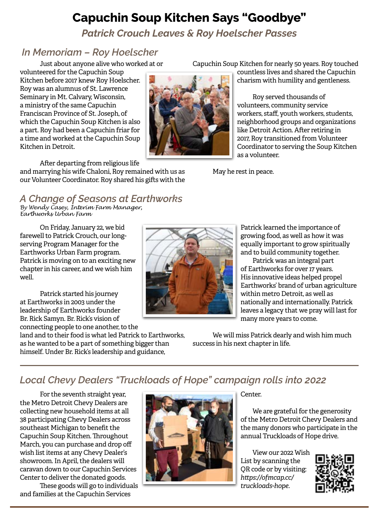# **Capuchin Soup Kitchen Says "Goodbye"**

*Patrick Crouch Leaves & Roy Hoelscher Passes*

### *In Memoriam – Roy Hoelscher*

Just about anyone alive who worked at or

volunteered for the Capuchin Soup Kitchen before 2017 knew Roy Hoelscher. Roy was an alumnus of St. Lawrence Seminary in Mt. Calvary, Wisconsin, a ministry of the same Capuchin Franciscan Province of St. Joseph, of which the Capuchin Soup Kitchen is also a part. Roy had been a Capuchin friar for a time and worked at the Capuchin Soup Kitchen in Detroit.



Capuchin Soup Kitchen for nearly 50 years. Roy touched countless lives and shared the Capuchin

charism with humility and gentleness.

Roy served thousands of volunteers, community service workers, staff, youth workers, students, neighborhood groups and organizations like Detroit Action. After retiring in 2017, Roy transitioned from Volunteer Coordinator to serving the Soup Kitchen as a volunteer.

May he rest in peace.

After departing from religious life

and marrying his wife Chaloni, Roy remained with us as our Volunteer Coordinator. Roy shared his gifts with the

# *A Change of Seasons at Earthworks*

*By Wendy Casey, Interim Farm Manager, Earthworks Urban Farm*

On Friday, January 22, we bid farewell to Patrick Crouch, our longserving Program Manager for the Earthworks Urban Farm program. Patrick is moving on to an exciting new chapter in his career, and we wish him well.

Patrick started his journey at Earthworks in 2003 under the leadership of Earthworks founder Br. Rick Samyn. Br. Rick's vision of connecting people to one another, to the

land and to their food is what led Patrick to Earthworks, as he wanted to be a part of something bigger than himself. Under Br. Rick's leadership and guidance,



Patrick learned the importance of growing food, as well as how it was equally important to grow spiritually and to build community together.

Patrick was an integral part of Earthworks for over 17 years. His innovative ideas helped propel Earthworks' brand of urban agriculture within metro Detroit, as well as nationally and internationally. Patrick leaves a legacy that we pray will last for many more years to come.

We will miss Patrick dearly and wish him much success in his next chapter in life.

# *Local Chevy Dealers "Truckloads of Hope" campaign rolls into 2022*

For the seventh straight year, the Metro Detroit Chevy Dealers are collecting new household items at all 38 participating Chevy Dealers across southeast Michigan to benefit the Capuchin Soup Kitchen. Throughout March, you can purchase and drop off wish list items at any Chevy Dealer's showroom. In April, the dealers will caravan down to our Capuchin Services Center to deliver the donated goods.

These goods will go to individuals and families at the Capuchin Services



Center.

We are grateful for the generosity of the Metro Detroit Chevy Dealers and the many donors who participate in the annual Truckloads of Hope drive.

View our 2022 Wish List by scanning the QR code or by visiting: *https://ofmcap.cc/ truckloads-hope.*